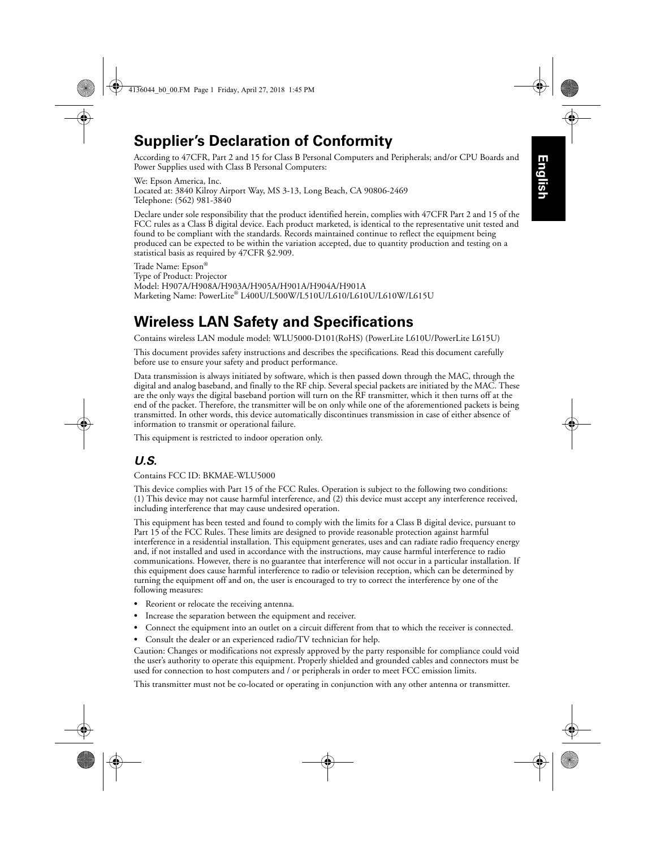# **Supplier's Declaration of Conformity**

According to 47CFR, Part 2 and 15 for Class B Personal Computers and Peripherals; and/or CPU Boards and Power Supplies used with Class B Personal Computers:

We: Epson America, Inc. Located at: 3840 Kilroy Airport Way, MS 3-13, Long Beach, CA 90806-2469 Telephone: (562) 981-3840

Declare under sole responsibility that the product identified herein, complies with 47CFR Part 2 and 15 of the FCC rules as a Class B digital device. Each product marketed, is identical to the representative unit tested and found to be compliant with the standards. Records maintained continue to reflect the equipment being produced can be expected to be within the variation accepted, due to quantity production and testing on a statistical basis as required by 47CFR §2.909.

Trade Name: Epson® Type of Product: Projector Model: H907A/H908A/H903A/H905A/H901A/H904A/H901A Marketing Name: PowerLite® L400U/L500W/L510U/L610/L610U/L610W/L615U

## **Wireless LAN Safety and Specifications**

Contains wireless LAN module model: WLU5000-D101(RoHS) (PowerLite L610U/PowerLite L615U)

This document provides safety instructions and describes the specifications. Read this document carefully before use to ensure your safety and product performance.

Data transmission is always initiated by software, which is then passed down through the MAC, through the digital and analog baseband, and finally to the RF chip. Several special packets are initiated by the MAC. These are the only ways the digital baseband portion will turn on the RF transmitter, which it then turns off at the end of the packet. Therefore, the transmitter will be on only while one of the aforementioned packets is being transmitted. In other words, this device automatically discontinues transmission in case of either absence of information to transmit or operational failure.

This equipment is restricted to indoor operation only.

### *U.S.*

Contains FCC ID: BKMAE-WLU5000

This device complies with Part 15 of the FCC Rules. Operation is subject to the following two conditions: (1) This device may not cause harmful interference, and (2) this device must accept any interference received, including interference that may cause undesired operation.

This equipment has been tested and found to comply with the limits for a Class B digital device, pursuant to Part 15 of the FCC Rules. These limits are designed to provide reasonable protection against harmful interference in a residential installation. This equipment generates, uses and can radiate radio frequency energy and, if not installed and used in accordance with the instructions, may cause harmful interference to radio communications. However, there is no guarantee that interference will not occur in a particular installation. If this equipment does cause harmful interference to radio or television reception, which can be determined by turning the equipment off and on, the user is encouraged to try to correct the interference by one of the following measures:

- **•** Reorient or relocate the receiving antenna.
- **•** Increase the separation between the equipment and receiver.
- **•** Connect the equipment into an outlet on a circuit different from that to which the receiver is connected.
- **•** Consult the dealer or an experienced radio/TV technician for help.

Caution: Changes or modifications not expressly approved by the party responsible for compliance could void the user's authority to operate this equipment. Properly shielded and grounded cables and connectors must be used for connection to host computers and / or peripherals in order to meet FCC emission limits.

This transmitter must not be co-located or operating in conjunction with any other antenna or transmitter.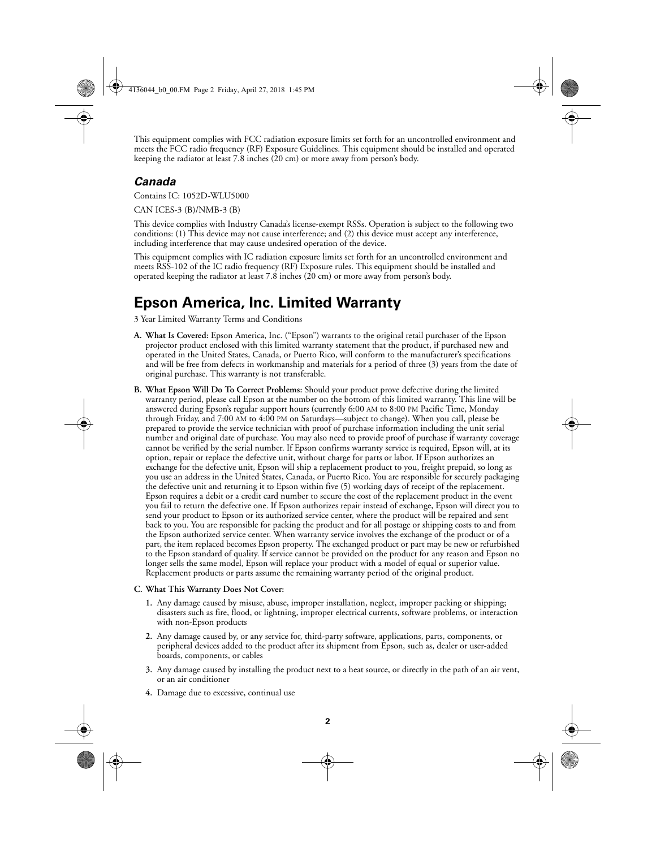This equipment complies with FCC radiation exposure limits set forth for an uncontrolled environment and meets the FCC radio frequency (RF) Exposure Guidelines. This equipment should be installed and operated keeping the radiator at least 7.8 inches (20 cm) or more away from person's body.

### *Canada*

Contains IC: 1052D-WLU5000

CAN ICES-3 (B)/NMB-3 (B)

This device complies with Industry Canada's license-exempt RSSs. Operation is subject to the following two conditions: (1) This device may not cause interference; and (2) this device must accept any interference, including interference that may cause undesired operation of the device.

This equipment complies with IC radiation exposure limits set forth for an uncontrolled environment and meets RSS-102 of the IC radio frequency (RF) Exposure rules. This equipment should be installed and operated keeping the radiator at least 7.8 inches (20 cm) or more away from person's body.

## **Epson America, Inc. Limited Warranty**

3 Year Limited Warranty Terms and Conditions

- **A. What Is Covered:** Epson America, Inc. ("Epson") warrants to the original retail purchaser of the Epson projector product enclosed with this limited warranty statement that the product, if purchased new and operated in the United States, Canada, or Puerto Rico, will conform to the manufacturer's specifications and will be free from defects in workmanship and materials for a period of three (3) years from the date of original purchase. This warranty is not transferable.
- **B. What Epson Will Do To Correct Problems:** Should your product prove defective during the limited warranty period, please call Epson at the number on the bottom of this limited warranty. This line will be answered during Epson's regular support hours (currently 6:00 AM to 8:00 PM Pacific Time, Monday through Friday, and 7:00 AM to 4:00 PM on Saturdays—subject to change). When you call, please be prepared to provide the service technician with proof of purchase information including the unit serial number and original date of purchase. You may also need to provide proof of purchase if warranty coverage cannot be verified by the serial number. If Epson confirms warranty service is required, Epson will, at its option, repair or replace the defective unit, without charge for parts or labor. If Epson authorizes an exchange for the defective unit, Epson will ship a replacement product to you, freight prepaid, so long as you use an address in the United States, Canada, or Puerto Rico. You are responsible for securely packaging the defective unit and returning it to Epson within five (5) working days of receipt of the replacement. Epson requires a debit or a credit card number to secure the cost of the replacement product in the event you fail to return the defective one. If Epson authorizes repair instead of exchange, Epson will direct you to send your product to Epson or its authorized service center, where the product will be repaired and sent back to you. You are responsible for packing the product and for all postage or shipping costs to and from the Epson authorized service center. When warranty service involves the exchange of the product or of a part, the item replaced becomes Epson property. The exchanged product or part may be new or refurbished to the Epson standard of quality. If service cannot be provided on the product for any reason and Epson no longer sells the same model, Epson will replace your product with a model of equal or superior value. Replacement products or parts assume the remaining warranty period of the original product.

### **C. What This Warranty Does Not Cover:**

- **1.** Any damage caused by misuse, abuse, improper installation, neglect, improper packing or shipping; disasters such as fire, flood, or lightning, improper electrical currents, software problems, or interaction with non-Epson products
- **2.** Any damage caused by, or any service for, third-party software, applications, parts, components, or peripheral devices added to the product after its shipment from Epson, such as, dealer or user-added boards, components, or cables
- **3.** Any damage caused by installing the product next to a heat source, or directly in the path of an air vent, or an air conditioner
- **4.** Damage due to excessive, continual use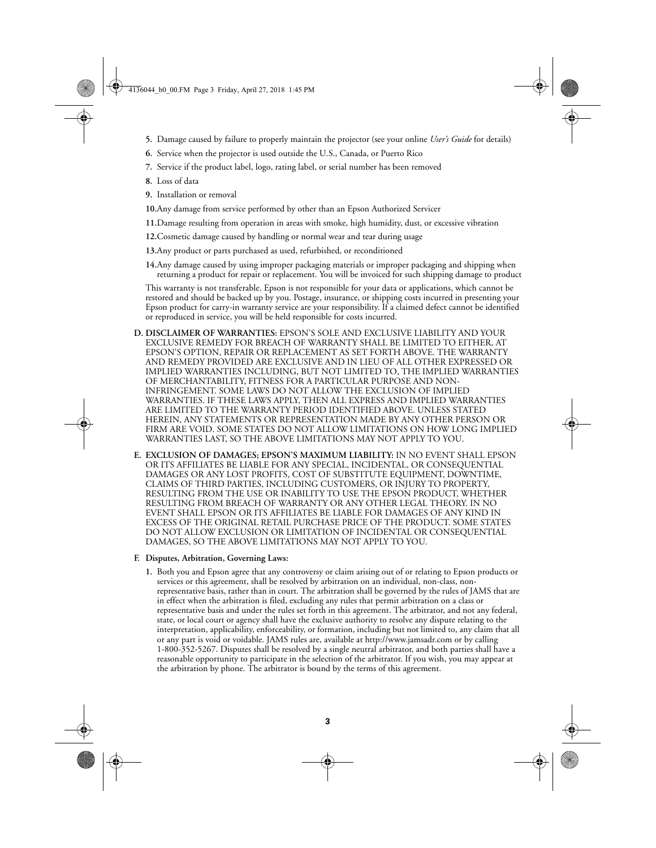- **5.** Damage caused by failure to properly maintain the projector (see your online *User's Guide* for details)
- **6.** Service when the projector is used outside the U.S., Canada, or Puerto Rico
- **7.** Service if the product label, logo, rating label, or serial number has been removed
- **8.** Loss of data
- **9.** Installation or removal

**10.**Any damage from service performed by other than an Epson Authorized Servicer

- **11.**Damage resulting from operation in areas with smoke, high humidity, dust, or excessive vibration
- **12.**Cosmetic damage caused by handling or normal wear and tear during usage
- **13.**Any product or parts purchased as used, refurbished, or reconditioned

**14.**Any damage caused by using improper packaging materials or improper packaging and shipping when returning a product for repair or replacement. You will be invoiced for such shipping damage to product

This warranty is not transferable. Epson is not responsible for your data or applications, which cannot be restored and should be backed up by you. Postage, insurance, or shipping costs incurred in presenting your Epson product for carry-in warranty service are your responsibility. If a claimed defect cannot be identified or reproduced in service, you will be held responsible for costs incurred.

- **D. DISCLAIMER OF WARRANTIES:** EPSON'S SOLE AND EXCLUSIVE LIABILITY AND YOUR EXCLUSIVE REMEDY FOR BREACH OF WARRANTY SHALL BE LIMITED TO EITHER, AT EPSON'S OPTION, REPAIR OR REPLACEMENT AS SET FORTH ABOVE. THE WARRANTY AND REMEDY PROVIDED ARE EXCLUSIVE AND IN LIEU OF ALL OTHER EXPRESSED OR IMPLIED WARRANTIES INCLUDING, BUT NOT LIMITED TO, THE IMPLIED WARRANTIES OF MERCHANTABILITY, FITNESS FOR A PARTICULAR PURPOSE AND NON-INFRINGEMENT. SOME LAWS DO NOT ALLOW THE EXCLUSION OF IMPLIED WARRANTIES. IF THESE LAWS APPLY, THEN ALL EXPRESS AND IMPLIED WARRANTIES ARE LIMITED TO THE WARRANTY PERIOD IDENTIFIED ABOVE. UNLESS STATED HEREIN, ANY STATEMENTS OR REPRESENTATION MADE BY ANY OTHER PERSON OR FIRM ARE VOID. SOME STATES DO NOT ALLOW LIMITATIONS ON HOW LONG IMPLIED WARRANTIES LAST, SO THE ABOVE LIMITATIONS MAY NOT APPLY TO YOU.
- **E. EXCLUSION OF DAMAGES; EPSON'S MAXIMUM LIABILITY:** IN NO EVENT SHALL EPSON OR ITS AFFILIATES BE LIABLE FOR ANY SPECIAL, INCIDENTAL, OR CONSEQUENTIAL DAMAGES OR ANY LOST PROFITS, COST OF SUBSTITUTE EQUIPMENT, DOWNTIME, CLAIMS OF THIRD PARTIES, INCLUDING CUSTOMERS, OR INJURY TO PROPERTY, RESULTING FROM THE USE OR INABILITY TO USE THE EPSON PRODUCT, WHETHER RESULTING FROM BREACH OF WARRANTY OR ANY OTHER LEGAL THEORY. IN NO EVENT SHALL EPSON OR ITS AFFILIATES BE LIABLE FOR DAMAGES OF ANY KIND IN EXCESS OF THE ORIGINAL RETAIL PURCHASE PRICE OF THE PRODUCT. SOME STATES DO NOT ALLOW EXCLUSION OR LIMITATION OF INCIDENTAL OR CONSEQUENTIAL DAMAGES, SO THE ABOVE LIMITATIONS MAY NOT APPLY TO YOU.

#### **F. Disputes, Arbitration, Governing Laws:**

**1.** Both you and Epson agree that any controversy or claim arising out of or relating to Epson products or services or this agreement, shall be resolved by arbitration on an individual, non-class, nonrepresentative basis, rather than in court. The arbitration shall be governed by the rules of JAMS that are in effect when the arbitration is filed, excluding any rules that permit arbitration on a class or representative basis and under the rules set forth in this agreement. The arbitrator, and not any federal, state, or local court or agency shall have the exclusive authority to resolve any dispute relating to the interpretation, applicability, enforceability, or formation, including but not limited to, any claim that all or any part is void or voidable. JAMS rules are, available at http://www.jamsadr.com or by calling 1-800-352-5267. Disputes shall be resolved by a single neutral arbitrator, and both parties shall have a reasonable opportunity to participate in the selection of the arbitrator. If you wish, you may appear at the arbitration by phone. The arbitrator is bound by the terms of this agreement.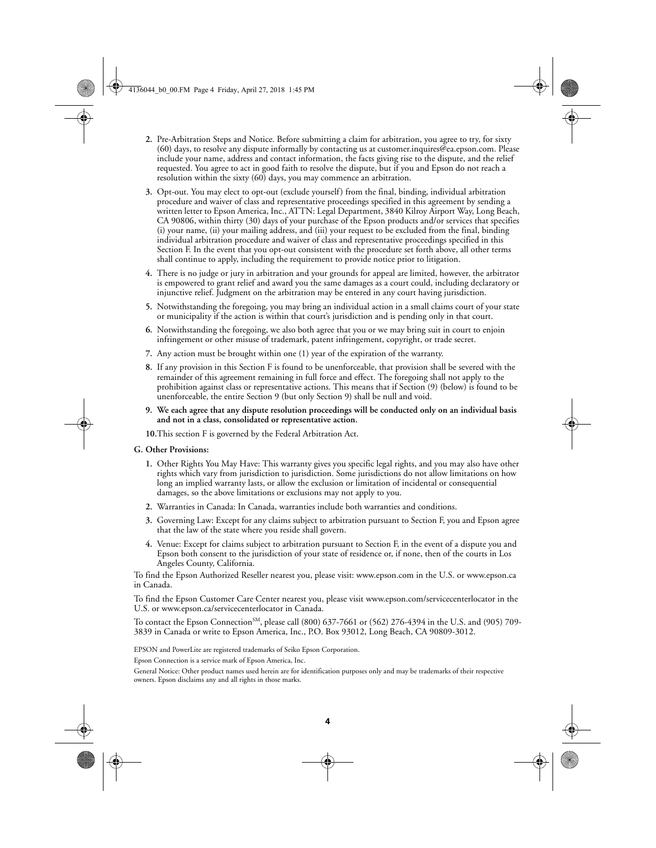- **2.** Pre-Arbitration Steps and Notice. Before submitting a claim for arbitration, you agree to try, for sixty (60) days, to resolve any dispute informally by contacting us at customer.inquires@ea.epson.com. Please include your name, address and contact information, the facts giving rise to the dispute, and the relief requested. You agree to act in good faith to resolve the dispute, but if you and Epson do not reach a resolution within the sixty (60) days, you may commence an arbitration.
- **3.** Opt-out. You may elect to opt-out (exclude yourself) from the final, binding, individual arbitration procedure and waiver of class and representative proceedings specified in this agreement by sending a written letter to Epson America, Inc., ATTN: Legal Department, 3840 Kilroy Airport Way, Long Beach, CA 90806, within thirty (30) days of your purchase of the Epson products and/or services that specifies (i) your name, (ii) your mailing address, and (iii) your request to be excluded from the final, binding individual arbitration procedure and waiver of class and representative proceedings specified in this Section F. In the event that you opt-out consistent with the procedure set forth above, all other terms shall continue to apply, including the requirement to provide notice prior to litigation.
- **4.** There is no judge or jury in arbitration and your grounds for appeal are limited, however, the arbitrator is empowered to grant relief and award you the same damages as a court could, including declaratory or injunctive relief. Judgment on the arbitration may be entered in any court having jurisdiction.
- **5.** Notwithstanding the foregoing, you may bring an individual action in a small claims court of your state or municipality if the action is within that court's jurisdiction and is pending only in that court.
- **6.** Notwithstanding the foregoing, we also both agree that you or we may bring suit in court to enjoin infringement or other misuse of trademark, patent infringement, copyright, or trade secret.
- **7.** Any action must be brought within one (1) year of the expiration of the warranty.
- **8.** If any provision in this Section F is found to be unenforceable, that provision shall be severed with the remainder of this agreement remaining in full force and effect. The foregoing shall not apply to the prohibition against class or representative actions. This means that if Section (9) (below) is found to be unenforceable, the entire Section 9 (but only Section 9) shall be null and void.
- **9. We each agree that any dispute resolution proceedings will be conducted only on an individual basis and not in a class, consolidated or representative action.**

**10.**This section F is governed by the Federal Arbitration Act.

#### **G. Other Provisions:**

- **1.** Other Rights You May Have: This warranty gives you specific legal rights, and you may also have other rights which vary from jurisdiction to jurisdiction. Some jurisdictions do not allow limitations on how long an implied warranty lasts, or allow the exclusion or limitation of incidental or consequential damages, so the above limitations or exclusions may not apply to you.
- **2.** Warranties in Canada: In Canada, warranties include both warranties and conditions.
- **3.** Governing Law: Except for any claims subject to arbitration pursuant to Section F, you and Epson agree that the law of the state where you reside shall govern.
- **4.** Venue: Except for claims subject to arbitration pursuant to Section F, in the event of a dispute you and Epson both consent to the jurisdiction of your state of residence or, if none, then of the courts in Los Angeles County, California.

To find the Epson Authorized Reseller nearest you, please visit: www.epson.com in the U.S. or www.epson.ca in Canada.

To find the Epson Customer Care Center nearest you, please visit www.epson.com/servicecenterlocator in the U.S. or www.epson.ca/servicecenterlocator in Canada.

To contact the Epson Connection<sup>SM</sup>, please call (800) 637-7661 or (562) 276-4394 in the U.S. and (905) 709-3839 in Canada or write to Epson America, Inc., P.O. Box 93012, Long Beach, CA 90809-3012.

EPSON and PowerLite are registered trademarks of Seiko Epson Corporation.

Epson Connection is a service mark of Epson America, Inc.

General Notice: Other product names used herein are for identification purposes only and may be trademarks of their respective owners. Epson disclaims any and all rights in those marks.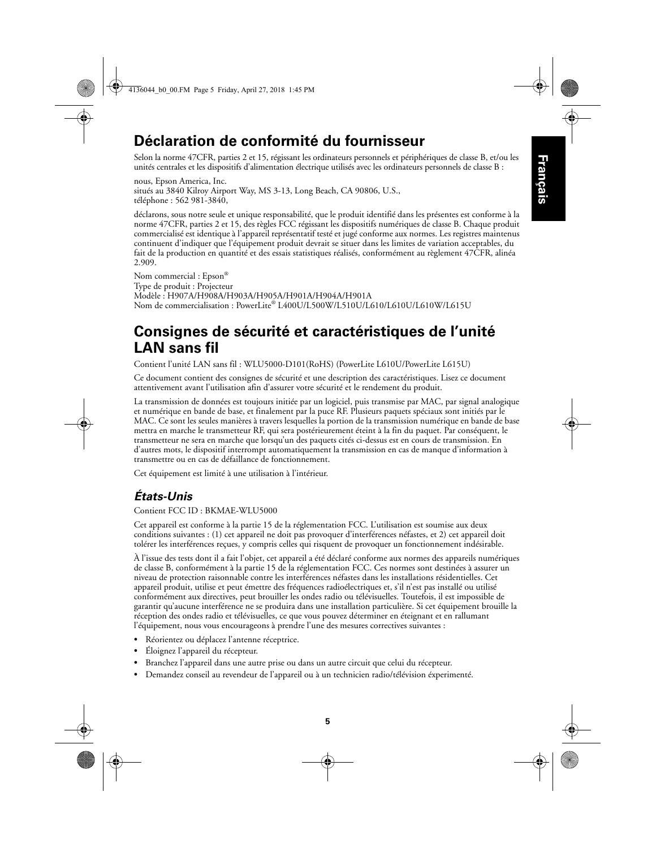## **Déclaration de conformité du fournisseur**

Selon la norme 47CFR, parties 2 et 15, régissant les ordinateurs personnels et périphériques de classe B, et/ou les unités centrales et les dispositifs d'alimentation électrique utilisés avec les ordinateurs personnels de classe B :

nous, Epson America, Inc. situés au 3840 Kilroy Airport Way, MS 3-13, Long Beach, CA 90806, U.S., téléphone : 562 981-3840,

déclarons, sous notre seule et unique responsabilité, que le produit identifié dans les présentes est conforme à la norme 47CFR, parties 2 et 15, des règles FCC régissant les dispositifs numériques de classe B. Chaque produit commercialisé est identique à l'appareil représentatif testé et jugé conforme aux normes. Les registres maintenus continuent d'indiquer que l'équipement produit devrait se situer dans les limites de variation acceptables, du fait de la production en quantité et des essais statistiques réalisés, conformément au règlement 47CFR, alinéa 2.909.

Nom commercial : Epson® Type de produit : Projecteur Modèle : H907A/H908A/H903A/H905A/H901A/H904A/H901A Nom de commercialisation : PowerLite® L400U/L500W/L510U/L610/L610U/L610W/L615U

## **Consignes de sécurité et caractéristiques de l'unité LAN sans fil**

Contient l'unité LAN sans fil : WLU5000-D101(RoHS) (PowerLite L610U/PowerLite L615U)

Ce document contient des consignes de sécurité et une description des caractéristiques. Lisez ce document attentivement avant l'utilisation afin d'assurer votre sécurité et le rendement du produit.

La transmission de données est toujours initiée par un logiciel, puis transmise par MAC, par signal analogique et numérique en bande de base, et finalement par la puce RF. Plusieurs paquets spéciaux sont initiés par le MAC. Ce sont les seules manières à travers lesquelles la portion de la transmission numérique en bande de base mettra en marche le transmetteur RF, qui sera postérieurement éteint à la fin du paquet. Par conséquent, le transmetteur ne sera en marche que lorsqu'un des paquets cités ci-dessus est en cours de transmission. En d'autres mots, le dispositif interrompt automatiquement la transmission en cas de manque d'information à transmettre ou en cas de défaillance de fonctionnement.

Cet équipement est limité à une utilisation à l'intérieur.

### *États-Unis*

Contient FCC ID : BKMAE-WLU5000

Cet appareil est conforme à la partie 15 de la réglementation FCC. L'utilisation est soumise aux deux conditions suivantes : (1) cet appareil ne doit pas provoquer d'interférences néfastes, et 2) cet appareil doit tolérer les interférences reçues, y compris celles qui risquent de provoquer un fonctionnement indésirable.

À l'issue des tests dont il a fait l'objet, cet appareil a été déclaré conforme aux normes des appareils numériques de classe B, conformément à la partie 15 de la réglementation FCC. Ces normes sont destinées à assurer un niveau de protection raisonnable contre les interférences néfastes dans les installations résidentielles. Cet appareil produit, utilise et peut émettre des fréquences radioélectriques et, s'il n'est pas installé ou utilisé conformément aux directives, peut brouiller les ondes radio ou télévisuelles. Toutefois, il est impossible de garantir qu'aucune interférence ne se produira dans une installation particulière. Si cet équipement brouille la réception des ondes radio et télévisuelles, ce que vous pouvez déterminer en éteignant et en rallumant l'équipement, nous vous encourageons à prendre l'une des mesures correctives suivantes :

- **•** Réorientez ou déplacez l'antenne réceptrice.
- **•** Éloignez l'appareil du récepteur.
- **•** Branchez l'appareil dans une autre prise ou dans un autre circuit que celui du récepteur.
- **•** Demandez conseil au revendeur de l'appareil ou à un technicien radio/télévision éxperimenté.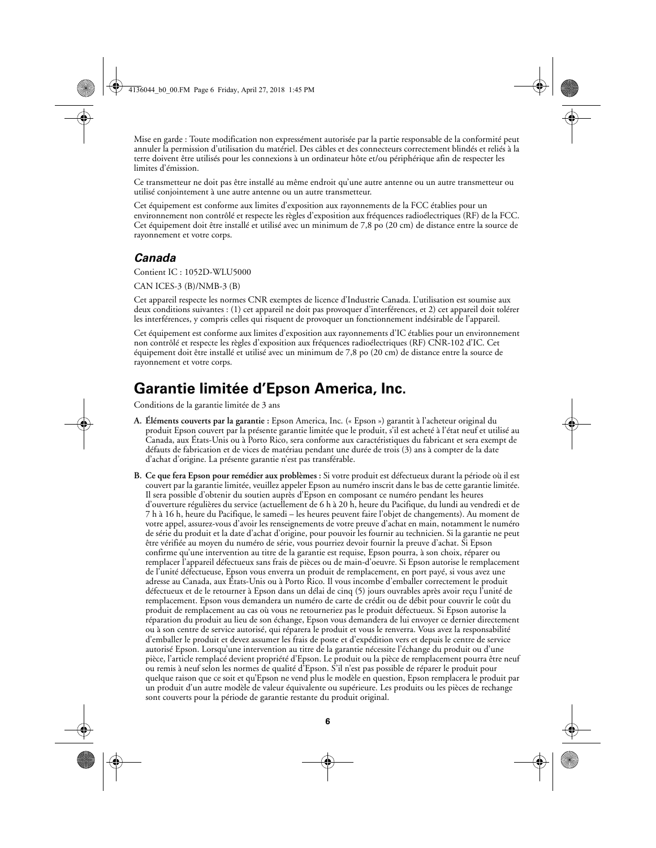Mise en garde : Toute modification non expressément autorisée par la partie responsable de la conformité peut annuler la permission d'utilisation du matériel. Des câbles et des connecteurs correctement blindés et reliés à la terre doivent être utilisés pour les connexions à un ordinateur hôte et/ou périphérique afin de respecter les limites d'émission.

Ce transmetteur ne doit pas être installé au même endroit qu'une autre antenne ou un autre transmetteur ou utilisé conjointement à une autre antenne ou un autre transmetteur.

Cet équipement est conforme aux limites d'exposition aux rayonnements de la FCC établies pour un environnement non contrôlé et respecte les règles d'exposition aux fréquences radioélectriques (RF) de la FCC. Cet équipement doit être installé et utilisé avec un minimum de 7,8 po (20 cm) de distance entre la source de rayonnement et votre corps.

### *Canada*

Contient IC : 1052D-WLU5000

CAN ICES-3 (B)/NMB-3 (B)

Cet appareil respecte les normes CNR exemptes de licence d'Industrie Canada. L'utilisation est soumise aux deux conditions suivantes : (1) cet appareil ne doit pas provoquer d'interférences, et 2) cet appareil doit tolérer les interférences, y compris celles qui risquent de provoquer un fonctionnement indésirable de l'appareil.

Cet équipement est conforme aux limites d'exposition aux rayonnements d'IC établies pour un environnement non contrôlé et respecte les règles d'exposition aux fréquences radioélectriques (RF) CNR-102 d'IC. Cet équipement doit être installé et utilisé avec un minimum de 7,8 po (20 cm) de distance entre la source de rayonnement et votre corps.

## **Garantie limitée d'Epson America, Inc.**

Conditions de la garantie limitée de 3 ans

- **A. Éléments couverts par la garantie :** Epson America, Inc. (« Epson ») garantit à l'acheteur original du produit Epson couvert par la présente garantie limitée que le produit, s'il est acheté à l'état neuf et utilisé au Canada, aux États-Unis ou à Porto Rico, sera conforme aux caractéristiques du fabricant et sera exempt de défauts de fabrication et de vices de matériau pendant une durée de trois (3) ans à compter de la date d'achat d'origine. La présente garantie n'est pas transférable.
- **B. Ce que fera Epson pour remédier aux problèmes :** Si votre produit est défectueux durant la période où il est couvert par la garantie limitée, veuillez appeler Epson au numéro inscrit dans le bas de cette garantie limitée. Il sera possible d'obtenir du soutien auprès d'Epson en composant ce numéro pendant les heures d'ouverture régulières du service (actuellement de 6 h à 20 h, heure du Pacifique, du lundi au vendredi et de 7 h à 16 h, heure du Pacifique, le samedi – les heures peuvent faire l'objet de changements). Au moment de votre appel, assurez-vous d'avoir les renseignements de votre preuve d'achat en main, notamment le numéro de série du produit et la date d'achat d'origine, pour pouvoir les fournir au technicien. Si la garantie ne peut être vérifiée au moyen du numéro de série, vous pourriez devoir fournir la preuve d'achat. Si Epson confirme qu'une intervention au titre de la garantie est requise, Epson pourra, à son choix, réparer ou remplacer l'appareil défectueux sans frais de pièces ou de main-d'oeuvre. Si Epson autorise le remplacement de l'unité défectueuse, Epson vous enverra un produit de remplacement, en port payé, si vous avez une adresse au Canada, aux États-Unis ou à Porto Rico. Il vous incombe d'emballer correctement le produit défectueux et de le retourner à Epson dans un délai de cinq (5) jours ouvrables après avoir reçu l'unité de remplacement. Epson vous demandera un numéro de carte de crédit ou de débit pour couvrir le coût du produit de remplacement au cas où vous ne retourneriez pas le produit défectueux. Si Epson autorise la réparation du produit au lieu de son échange, Epson vous demandera de lui envoyer ce dernier directement ou à son centre de service autorisé, qui réparera le produit et vous le renverra. Vous avez la responsabilité d'emballer le produit et devez assumer les frais de poste et d'expédition vers et depuis le centre de service autorisé Epson. Lorsqu'une intervention au titre de la garantie nécessite l'échange du produit ou d'une pièce, l'article remplacé devient propriété d'Epson. Le produit ou la pièce de remplacement pourra être neuf ou remis à neuf selon les normes de qualité d'Epson. S'il n'est pas possible de réparer le produit pour quelque raison que ce soit et qu'Epson ne vend plus le modèle en question, Epson remplacera le produit par un produit d'un autre modèle de valeur équivalente ou supérieure. Les produits ou les pièces de rechange sont couverts pour la période de garantie restante du produit original.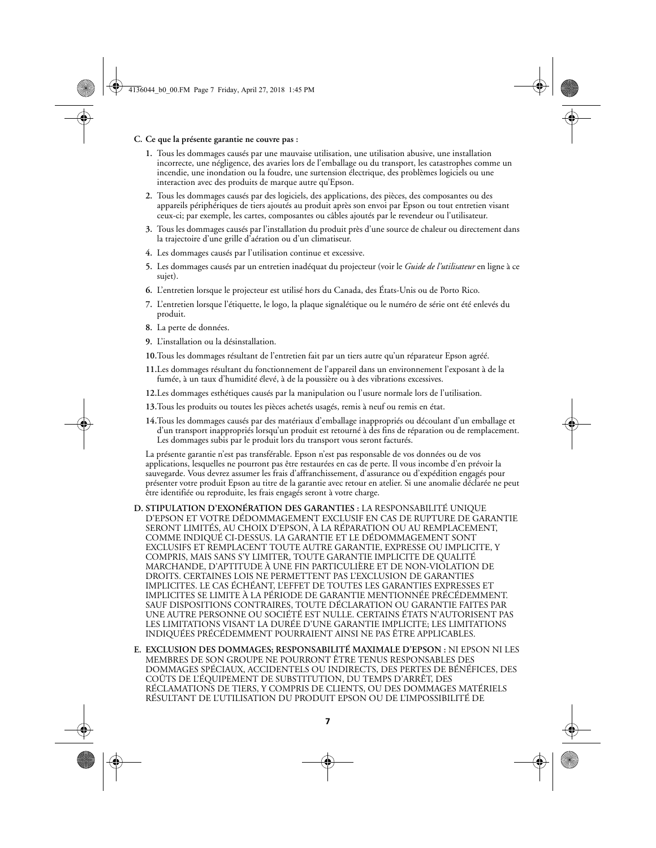#### **C. Ce que la présente garantie ne couvre pas :**

- **1.** Tous les dommages causés par une mauvaise utilisation, une utilisation abusive, une installation incorrecte, une négligence, des avaries lors de l'emballage ou du transport, les catastrophes comme un incendie, une inondation ou la foudre, une surtension électrique, des problèmes logiciels ou une interaction avec des produits de marque autre qu'Epson.
- **2.** Tous les dommages causés par des logiciels, des applications, des pièces, des composantes ou des appareils périphériques de tiers ajoutés au produit après son envoi par Epson ou tout entretien visant ceux-ci; par exemple, les cartes, composantes ou câbles ajoutés par le revendeur ou l'utilisateur.
- **3.** Tous les dommages causés par l'installation du produit près d'une source de chaleur ou directement dans la trajectoire d'une grille d'aération ou d'un climatiseur.
- **4.** Les dommages causés par l'utilisation continue et excessive.
- **5.** Les dommages causés par un entretien inadéquat du projecteur (voir le *Guide de l'utilisateur* en ligne à ce sujet).
- **6.** L'entretien lorsque le projecteur est utilisé hors du Canada, des États-Unis ou de Porto Rico.
- **7.** L'entretien lorsque l'étiquette, le logo, la plaque signalétique ou le numéro de série ont été enlevés du produit.
- **8.** La perte de données.
- **9.** L'installation ou la désinstallation.
- **10.**Tous les dommages résultant de l'entretien fait par un tiers autre qu'un réparateur Epson agréé.
- **11.**Les dommages résultant du fonctionnement de l'appareil dans un environnement l'exposant à de la fumée, à un taux d'humidité élevé, à de la poussière ou à des vibrations excessives.
- **12.**Les dommages esthétiques causés par la manipulation ou l'usure normale lors de l'utilisation.
- **13.**Tous les produits ou toutes les pièces achetés usagés, remis à neuf ou remis en état.
- **14.**Tous les dommages causés par des matériaux d'emballage inappropriés ou découlant d'un emballage et d'un transport inappropriés lorsqu'un produit est retourné à des fins de réparation ou de remplacement. Les dommages subis par le produit lors du transport vous seront facturés.

La présente garantie n'est pas transférable. Epson n'est pas responsable de vos données ou de vos applications, lesquelles ne pourront pas être restaurées en cas de perte. Il vous incombe d'en prévoir la sauvegarde. Vous devrez assumer les frais d'affranchissement, d'assurance ou d'expédition engagés pour présenter votre produit Epson au titre de la garantie avec retour en atelier. Si une anomalie déclarée ne peut être identifiée ou reproduite, les frais engagés seront à votre charge.

- **D. STIPULATION D'EXONÉRATION DES GARANTIES :** LA RESPONSABILITÉ UNIQUE D'EPSON ET VOTRE DÉDOMMAGEMENT EXCLUSIF EN CAS DE RUPTURE DE GARANTIE SERONT LIMITÉS, AU CHOIX D'EPSON, À LA RÉPARATION OU AU REMPLACEMENT, COMME INDIQUÉ CI-DESSUS. LA GARANTIE ET LE DÉDOMMAGEMENT SONT EXCLUSIFS ET REMPLACENT TOUTE AUTRE GARANTIE, EXPRESSE OU IMPLICITE, Y COMPRIS, MAIS SANS S'Y LIMITER, TOUTE GARANTIE IMPLICITE DE QUALITÉ MARCHANDE, D'APTITUDE À UNE FIN PARTICULIÈRE ET DE NON-VIOLATION DE DROITS. CERTAINES LOIS NE PERMETTENT PAS L'EXCLUSION DE GARANTIES IMPLICITES. LE CAS ÉCHÉANT, L'EFFET DE TOUTES LES GARANTIES EXPRESSES ET IMPLICITES SE LIMITE À LA PÉRIODE DE GARANTIE MENTIONNÉE PRÉCÉDEMMENT. SAUF DISPOSITIONS CONTRAIRES, TOUTE DÉCLARATION OU GARANTIE FAITES PAR UNE AUTRE PERSONNE OU SOCIÉTÉ EST NULLE. CERTAINS ÉTATS N'AUTORISENT PAS LES LIMITATIONS VISANT LA DURÉE D'UNE GARANTIE IMPLICITE; LES LIMITATIONS INDIQUÉES PRÉCÉDEMMENT POURRAIENT AINSI NE PAS ÊTRE APPLICABLES.
- **E. EXCLUSION DES DOMMAGES; RESPONSABILITÉ MAXIMALE D'EPSON :** NI EPSON NI LES MEMBRES DE SON GROUPE NE POURRONT ÊTRE TENUS RESPONSABLES DES DOMMAGES SPÉCIAUX, ACCIDENTELS OU INDIRECTS, DES PERTES DE BÉNÉFICES, DES COÛTS DE L'ÉQUIPEMENT DE SUBSTITUTION, DU TEMPS D'ARRÊT, DES RÉCLAMATIONS DE TIERS, Y COMPRIS DE CLIENTS, OU DES DOMMAGES MATÉRIELS RÉSULTANT DE L'UTILISATION DU PRODUIT EPSON OU DE L'IMPOSSIBILITÉ DE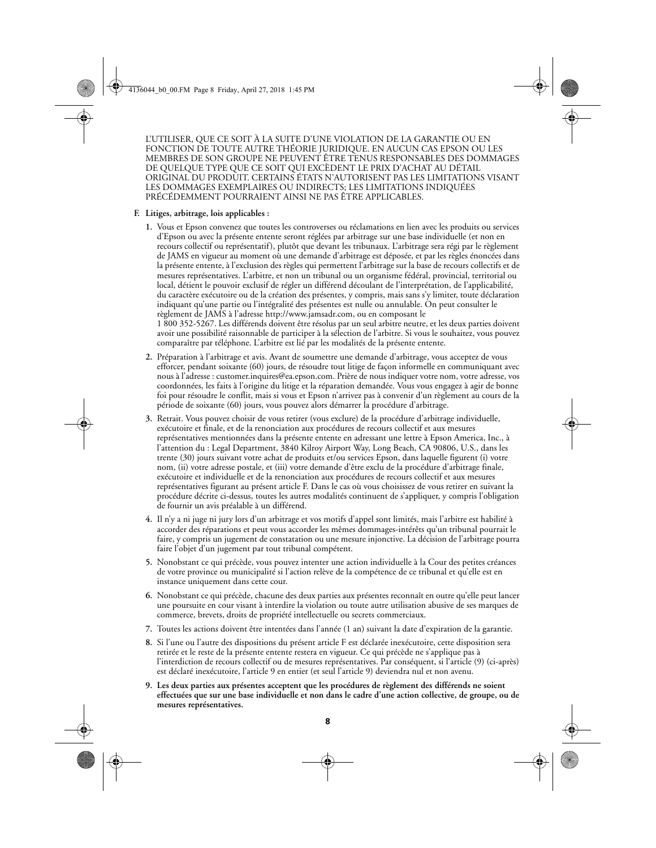L'UTILISER, QUE CE SOIT À LA SUITE D'UNE VIOLATION DE LA GARANTIE OU EN FONCTION DE TOUTE AUTRE THÉORIE JURIDIQUE. EN AUCUN CAS EPSON OU LES MEMBRES DE SON GROUPE NE PEUVENT ÊTRE TENUS RESPONSABLES DES DOMMAGES DE QUELQUE TYPE QUE CE SOIT QUI EXCÈDENT LE PRIX D'ACHAT AU DÉTAIL ORIGINAL DU PRODUIT. CERTAINS ÉTATS N'AUTORISENT PAS LES LIMITATIONS VISANT LES DOMMAGES EXEMPLAIRES OU INDIRECTS; LES LIMITATIONS INDIQUÉES PRÉCÉDEMMENT POURRAIENT AINSI NE PAS ÊTRE APPLICABLES.

#### **F. Litiges, arbitrage, lois applicables :**

- **1.** Vous et Epson convenez que toutes les controverses ou réclamations en lien avec les produits ou services d'Epson ou avec la présente entente seront réglées par arbitrage sur une base individuelle (et non en recours collectif ou représentatif), plutôt que devant les tribunaux. L'arbitrage sera régi par le règlement de JAMS en vigueur au moment où une demande d'arbitrage est déposée, et par les règles énoncées dans la présente entente, à l'exclusion des règles qui permettent l'arbitrage sur la base de recours collectifs et de mesures représentatives. L'arbitre, et non un tribunal ou un organisme fédéral, provincial, territorial ou local, détient le pouvoir exclusif de régler un différend découlant de l'interprétation, de l'applicabilité, du caractère exécutoire ou de la création des présentes, y compris, mais sans s'y limiter, toute déclaration indiquant qu'une partie ou l'intégralité des présentes est nulle ou annulable. On peut consulter le règlement de JAMS à l'adresse http://www.jamsadr.com, ou en composant le 1 800 352-5267. Les différends doivent être résolus par un seul arbitre neutre, et les deux parties doivent avoir une possibilité raisonnable de participer à la sélection de l'arbitre. Si vous le souhaitez, vous pouvez comparaître par téléphone. L'arbitre est lié par les modalités de la présente entente.
- **2.** Préparation à l'arbitrage et avis. Avant de soumettre une demande d'arbitrage, vous acceptez de vous efforcer, pendant soixante (60) jours, de résoudre tout litige de façon informelle en communiquant avec nous à l'adresse : customer.inquires@ea.epson.com. Prière de nous indiquer votre nom, votre adresse, vos coordonnées, les faits à l'origine du litige et la réparation demandée. Vous vous engagez à agir de bonne foi pour résoudre le conflit, mais si vous et Epson n'arrivez pas à convenir d'un règlement au cours de la période de soixante (60) jours, vous pouvez alors démarrer la procédure d'arbitrage.
- **3.** Retrait. Vous pouvez choisir de vous retirer (vous exclure) de la procédure d'arbitrage individuelle, exécutoire et finale, et de la renonciation aux procédures de recours collectif et aux mesures représentatives mentionnées dans la présente entente en adressant une lettre à Epson America, Inc., à l'attention du : Legal Department, 3840 Kilroy Airport Way, Long Beach, CA 90806, U.S., dans les trente (30) jours suivant votre achat de produits et/ou services Epson, dans laquelle figurent (i) votre nom, (ii) votre adresse postale, et (iii) votre demande d'être exclu de la procédure d'arbitrage finale, exécutoire et individuelle et de la renonciation aux procédures de recours collectif et aux mesures représentatives figurant au présent article F. Dans le cas où vous choisissez de vous retirer en suivant la procédure décrite ci-dessus, toutes les autres modalités continuent de s'appliquer, y compris l'obligation de fournir un avis préalable à un différend.
- **4.** Il n'y a ni juge ni jury lors d'un arbitrage et vos motifs d'appel sont limités, mais l'arbitre est habilité à accorder des réparations et peut vous accorder les mêmes dommages-intérêts qu'un tribunal pourrait le faire, y compris un jugement de constatation ou une mesure injonctive. La décision de l'arbitrage pourra faire l'objet d'un jugement par tout tribunal compétent.
- **5.** Nonobstant ce qui précède, vous pouvez intenter une action individuelle à la Cour des petites créances de votre province ou municipalité si l'action relève de la compétence de ce tribunal et qu'elle est en instance uniquement dans cette cour.
- **6.** Nonobstant ce qui précède, chacune des deux parties aux présentes reconnaît en outre qu'elle peut lancer une poursuite en cour visant à interdire la violation ou toute autre utilisation abusive de ses marques de commerce, brevets, droits de propriété intellectuelle ou secrets commerciaux.
- **7.** Toutes les actions doivent être intentées dans l'année (1 an) suivant la date d'expiration de la garantie.
- **8.** Si l'une ou l'autre des dispositions du présent article F est déclarée inexécutoire, cette disposition sera retirée et le reste de la présente entente restera en vigueur. Ce qui précède ne s'applique pas à l'interdiction de recours collectif ou de mesures représentatives. Par conséquent, si l'article (9) (ci-après) est déclaré inexécutoire, l'article 9 en entier (et seul l'article 9) deviendra nul et non avenu.
- **9. Les deux parties aux présentes acceptent que les procédures de règlement des différends ne soient effectuées que sur une base individuelle et non dans le cadre d'une action collective, de groupe, ou de mesures représentatives.**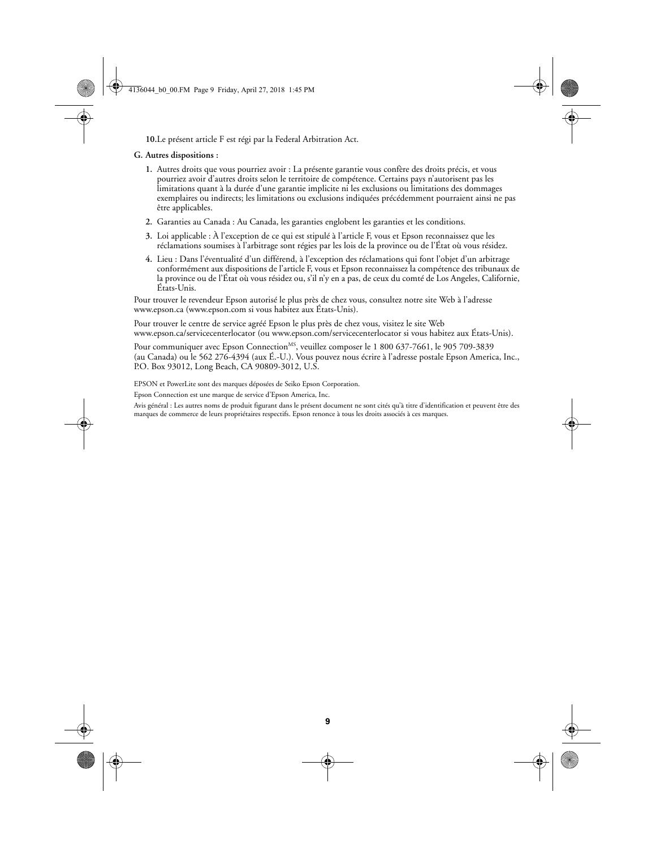**10.**Le présent article F est régi par la Federal Arbitration Act.

#### **G. Autres dispositions :**

- **1.** Autres droits que vous pourriez avoir : La présente garantie vous confère des droits précis, et vous pourriez avoir d'autres droits selon le territoire de compétence. Certains pays n'autorisent pas les limitations quant à la durée d'une garantie implicite ni les exclusions ou limitations des dommages exemplaires ou indirects; les limitations ou exclusions indiquées précédemment pourraient ainsi ne pas être applicables.
- **2.** Garanties au Canada : Au Canada, les garanties englobent les garanties et les conditions.
- **3.** Loi applicable : À l'exception de ce qui est stipulé à l'article F, vous et Epson reconnaissez que les réclamations soumises à l'arbitrage sont régies par les lois de la province ou de l'État où vous résidez.
- **4.** Lieu : Dans l'éventualité d'un différend, à l'exception des réclamations qui font l'objet d'un arbitrage conformément aux dispositions de l'article F, vous et Epson reconnaissez la compétence des tribunaux de la province ou de l'État où vous résidez ou, s'il n'y en a pas, de ceux du comté de Los Angeles, Californie, États-Unis.

Pour trouver le revendeur Epson autorisé le plus près de chez vous, consultez notre site Web à l'adresse www.epson.ca (www.epson.com si vous habitez aux États-Unis).

Pour trouver le centre de service agréé Epson le plus près de chez vous, visitez le site Web www.epson.ca/servicecenterlocator (ou www.epson.com/servicecenterlocator si vous habitez aux États-Unis).

Pour communiquer avec Epson Connection<sup>MS</sup>, veuillez composer le 1 800 637-7661, le 905 709-3839 (au Canada) ou le 562 276-4394 (aux É.-U.). Vous pouvez nous écrire à l'adresse postale Epson America, Inc., P.O. Box 93012, Long Beach, CA 90809-3012, U.S.

EPSON et PowerLite sont des marques déposées de Seiko Epson Corporation.

Epson Connection est une marque de service d'Epson America, Inc.

Avis général : Les autres noms de produit figurant dans le présent document ne sont cités qu'à titre d'identification et peuvent être des marques de commerce de leurs propriétaires respectifs. Epson renonce à tous les droits associés à ces marques.